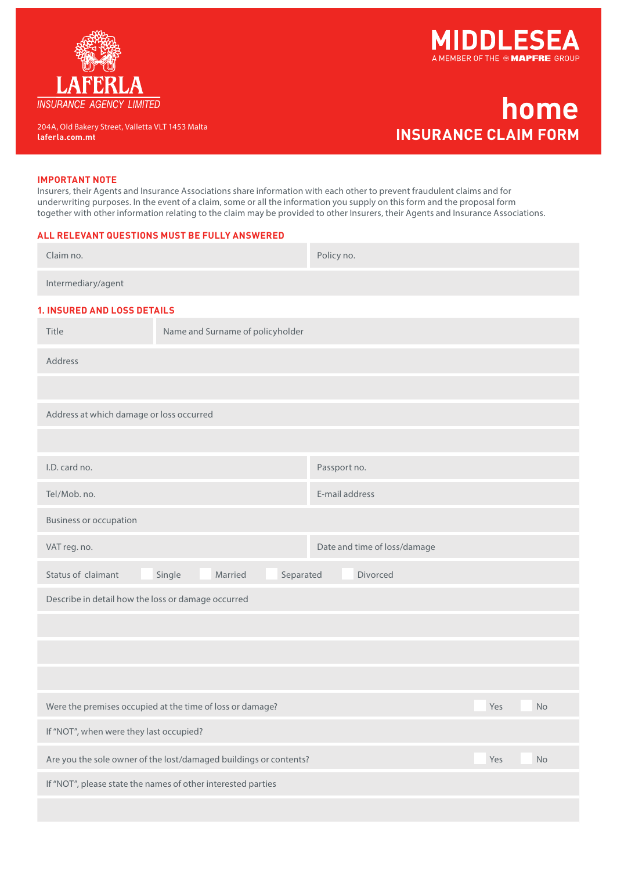



## **home home INSURANCE CLAIM FORM laferla.com.mt INSURANCE CLAIM FORM**

204A, Old Bakery Street, Valletta VLT 1453 Malta

## **IMPORTANT NOTE**

Insurers, their Agents and Insurance Associations share information with each other to prevent fraudulent claims and for underwriting purposes. In the event of a claim, some or all the information you supply on this form and the proposal form together with other information relating to the claim may be provided to other Insurers, their Agents and Insurance Associations.

## **ALL RELEVANT QUESTIONS MUST BE FULLY ANSWERED**

| Claim no.                                                                      |                                  | Policy no.                   |           |  |  |  |
|--------------------------------------------------------------------------------|----------------------------------|------------------------------|-----------|--|--|--|
| Intermediary/agent                                                             |                                  |                              |           |  |  |  |
| <b>1. INSURED AND LOSS DETAILS</b>                                             |                                  |                              |           |  |  |  |
| Title                                                                          | Name and Surname of policyholder |                              |           |  |  |  |
| Address                                                                        |                                  |                              |           |  |  |  |
|                                                                                |                                  |                              |           |  |  |  |
| Address at which damage or loss occurred                                       |                                  |                              |           |  |  |  |
|                                                                                |                                  |                              |           |  |  |  |
| I.D. card no.                                                                  |                                  | Passport no.                 |           |  |  |  |
| Tel/Mob. no.                                                                   |                                  | E-mail address               |           |  |  |  |
| <b>Business or occupation</b>                                                  |                                  |                              |           |  |  |  |
| VAT reg. no.                                                                   |                                  | Date and time of loss/damage |           |  |  |  |
| Status of claimant                                                             | Single<br>Married<br>Separated   | Divorced                     |           |  |  |  |
| Describe in detail how the loss or damage occurred                             |                                  |                              |           |  |  |  |
|                                                                                |                                  |                              |           |  |  |  |
|                                                                                |                                  |                              |           |  |  |  |
|                                                                                |                                  |                              |           |  |  |  |
| Were the premises occupied at the time of loss or damage?                      |                                  |                              | Yes<br>No |  |  |  |
| If "NOT", when were they last occupied?                                        |                                  |                              |           |  |  |  |
| Are you the sole owner of the lost/damaged buildings or contents?<br>Yes<br>No |                                  |                              |           |  |  |  |
| If "NOT", please state the names of other interested parties                   |                                  |                              |           |  |  |  |